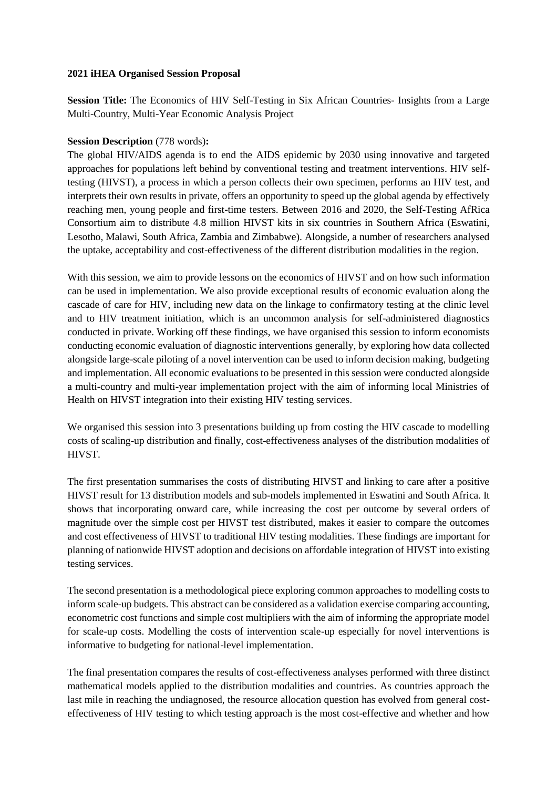### **2021 iHEA Organised Session Proposal**

**Session Title:** The Economics of HIV Self-Testing in Six African Countries- Insights from a Large Multi-Country, Multi-Year Economic Analysis Project

## **Session Description** (778 words)**:**

The global HIV/AIDS agenda is to end the AIDS epidemic by 2030 using innovative and targeted approaches for populations left behind by conventional testing and treatment interventions. HIV selftesting (HIVST), a process in which a person collects their own specimen, performs an HIV test, and interprets their own results in private, offers an opportunity to speed up the global agenda by effectively reaching men, young people and first-time testers. Between 2016 and 2020, the Self-Testing AfRica Consortium aim to distribute 4.8 million HIVST kits in six countries in Southern Africa (Eswatini, Lesotho, Malawi, South Africa, Zambia and Zimbabwe). Alongside, a number of researchers analysed the uptake, acceptability and cost-effectiveness of the different distribution modalities in the region.

With this session, we aim to provide lessons on the economics of HIVST and on how such information can be used in implementation. We also provide exceptional results of economic evaluation along the cascade of care for HIV, including new data on the linkage to confirmatory testing at the clinic level and to HIV treatment initiation, which is an uncommon analysis for self-administered diagnostics conducted in private. Working off these findings, we have organised this session to inform economists conducting economic evaluation of diagnostic interventions generally, by exploring how data collected alongside large-scale piloting of a novel intervention can be used to inform decision making, budgeting and implementation. All economic evaluations to be presented in this session were conducted alongside a multi-country and multi-year implementation project with the aim of informing local Ministries of Health on HIVST integration into their existing HIV testing services.

We organised this session into 3 presentations building up from costing the HIV cascade to modelling costs of scaling-up distribution and finally, cost-effectiveness analyses of the distribution modalities of HIVST.

The first presentation summarises the costs of distributing HIVST and linking to care after a positive HIVST result for 13 distribution models and sub-models implemented in Eswatini and South Africa. It shows that incorporating onward care, while increasing the cost per outcome by several orders of magnitude over the simple cost per HIVST test distributed, makes it easier to compare the outcomes and cost effectiveness of HIVST to traditional HIV testing modalities. These findings are important for planning of nationwide HIVST adoption and decisions on affordable integration of HIVST into existing testing services.

The second presentation is a methodological piece exploring common approaches to modelling costs to inform scale-up budgets. This abstract can be considered as a validation exercise comparing accounting, econometric cost functions and simple cost multipliers with the aim of informing the appropriate model for scale-up costs. Modelling the costs of intervention scale-up especially for novel interventions is informative to budgeting for national-level implementation.

The final presentation compares the results of cost-effectiveness analyses performed with three distinct mathematical models applied to the distribution modalities and countries. As countries approach the last mile in reaching the undiagnosed, the resource allocation question has evolved from general costeffectiveness of HIV testing to which testing approach is the most cost-effective and whether and how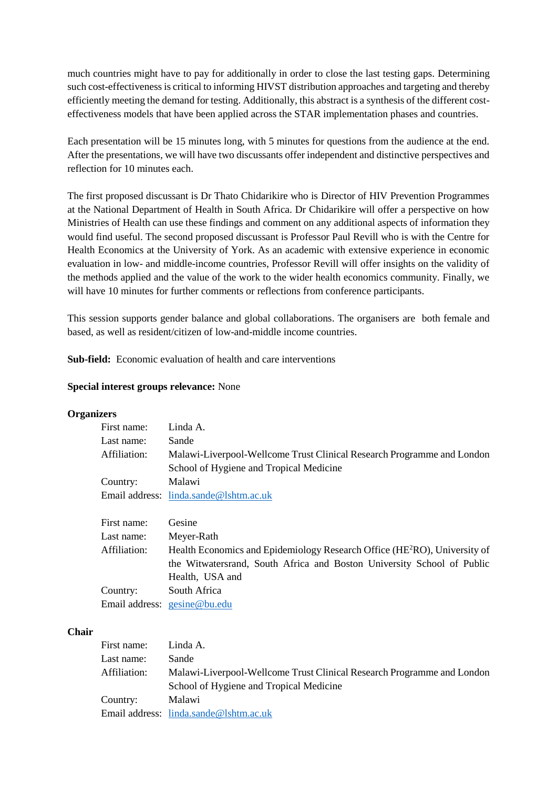much countries might have to pay for additionally in order to close the last testing gaps. Determining such cost-effectiveness is critical to informing HIVST distribution approaches and targeting and thereby efficiently meeting the demand for testing. Additionally, this abstract is a synthesis of the different costeffectiveness models that have been applied across the STAR implementation phases and countries.

Each presentation will be 15 minutes long, with 5 minutes for questions from the audience at the end. After the presentations, we will have two discussants offer independent and distinctive perspectives and reflection for 10 minutes each.

The first proposed discussant is Dr Thato Chidarikire who is Director of HIV Prevention Programmes at the National Department of Health in South Africa. Dr Chidarikire will offer a perspective on how Ministries of Health can use these findings and comment on any additional aspects of information they would find useful. The second proposed discussant is Professor Paul Revill who is with the Centre for Health Economics at the University of York. As an academic with extensive experience in economic evaluation in low- and middle-income countries, Professor Revill will offer insights on the validity of the methods applied and the value of the work to the wider health economics community. Finally, we will have 10 minutes for further comments or reflections from conference participants.

This session supports gender balance and global collaborations. The organisers are both female and based, as well as resident/citizen of low-and-middle income countries.

**Sub-field:** Economic evaluation of health and care interventions

### **Special interest groups relevance:** None

### **Organizers**

| First name:  | Linda A.                                                               |  |
|--------------|------------------------------------------------------------------------|--|
| Last name:   | Sande                                                                  |  |
| Affiliation: | Malawi-Liverpool-Wellcome Trust Clinical Research Programme and London |  |
|              | School of Hygiene and Tropical Medicine                                |  |
| Country:     | Malawi                                                                 |  |
|              | Email address: linda.sande@lshtm.ac.uk                                 |  |

| First name:  | Gesine                                                                                |  |  |
|--------------|---------------------------------------------------------------------------------------|--|--|
| Last name:   | Meyer-Rath                                                                            |  |  |
| Affiliation: | Health Economics and Epidemiology Research Office (HE <sup>2</sup> RO), University of |  |  |
|              | the Witwatersrand, South Africa and Boston University School of Public                |  |  |
|              | Health, USA and                                                                       |  |  |
| Country:     | South Africa                                                                          |  |  |
|              | Email address: gesine@bu.edu                                                          |  |  |

#### **Chair**

| First name:  | Linda A.                                                               |  |
|--------------|------------------------------------------------------------------------|--|
| Last name:   | Sande                                                                  |  |
| Affiliation: | Malawi-Liverpool-Wellcome Trust Clinical Research Programme and London |  |
|              | School of Hygiene and Tropical Medicine                                |  |
| Country:     | Malawi                                                                 |  |
|              | Email address: $linda.sande@lshtm.ac.uk$                               |  |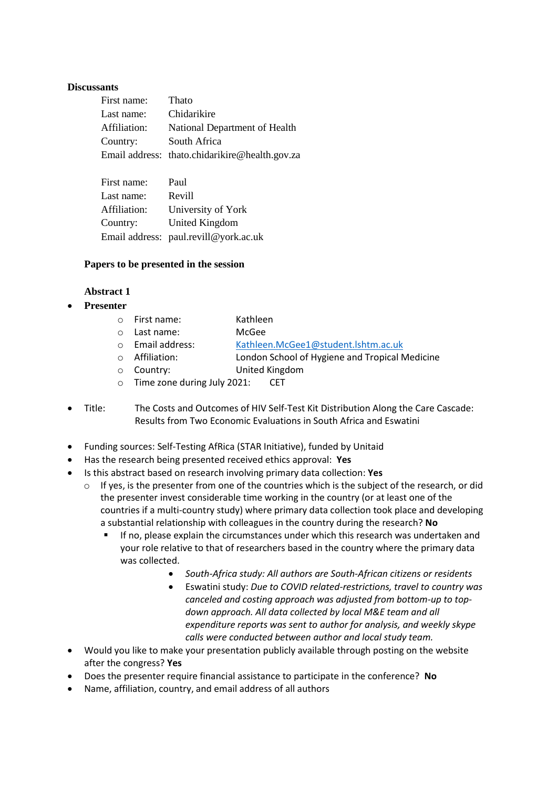### **Discussants**

| First name:         | Thato                                          |
|---------------------|------------------------------------------------|
| Last name:          | Chidarikire                                    |
| Affiliation:        | National Department of Health                  |
| Country:            | South Africa                                   |
|                     | Email address: thato.chidarikire@health.gov.za |
|                     |                                                |
| $\Gamma$ irot nomoj | D <sub>or</sub> 1                              |

| гны наше.    | r aui                                 |
|--------------|---------------------------------------|
| Last name:   | Revill                                |
| Affiliation: | University of York                    |
| Country:     | United Kingdom                        |
|              | Email address: paul.revill@york.ac.uk |

### **Papers to be presented in the session**

### **Abstract 1**

**Presenter**

| $\circ$ First name:                 | Kathleen                                       |
|-------------------------------------|------------------------------------------------|
| $\circ$ Last name:                  | McGee                                          |
| $\circ$ Email address:              | Kathleen.McGee1@student.lshtm.ac.uk            |
| o Affiliation:                      | London School of Hygiene and Tropical Medicine |
| ○ Country:                          | United Kingdom                                 |
| $\circ$ Time zone during July 2021: | <b>CET</b>                                     |

- Title: The Costs and Outcomes of HIV Self-Test Kit Distribution Along the Care Cascade: Results from Two Economic Evaluations in South Africa and Eswatini
- Funding sources: Self-Testing AfRica (STAR Initiative), funded by Unitaid
- Has the research being presented received ethics approval: **Yes**
- Is this abstract based on research involving primary data collection: **Yes**
	- $\circ$  If yes, is the presenter from one of the countries which is the subject of the research, or did the presenter invest considerable time working in the country (or at least one of the countries if a multi-country study) where primary data collection took place and developing a substantial relationship with colleagues in the country during the research? **No**
		- If no, please explain the circumstances under which this research was undertaken and your role relative to that of researchers based in the country where the primary data was collected.
			- *South-Africa study: All authors are South-African citizens or residents*
			- Eswatini study: *Due to COVID related-restrictions, travel to country was canceled and costing approach was adjusted from bottom-up to topdown approach. All data collected by local M&E team and all expenditure reports was sent to author for analysis, and weekly skype calls were conducted between author and local study team.*
- Would you like to make your presentation publicly available through posting on the website after the congress? **Yes**
- Does the presenter require financial assistance to participate in the conference? **No**
- Name, affiliation, country, and email address of all authors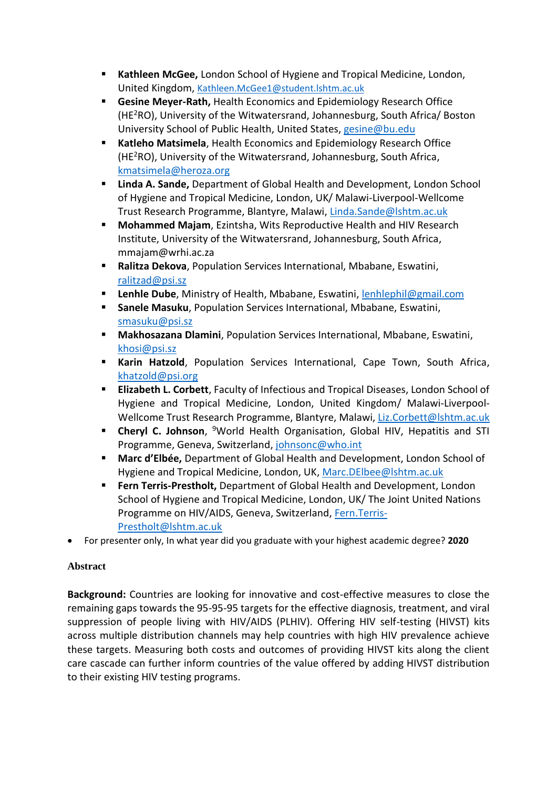- **Kathleen McGee,** London School of Hygiene and Tropical Medicine, London, United Kingdom, [Kathleen.McGee1@student.lshtm.ac.uk](mailto:Kathleen.McGee1@student.lshtm.ac.uk)
- **Gesine Meyer-Rath,** Health Economics and Epidemiology Research Office (HE<sup>2</sup>RO), University of the Witwatersrand, Johannesburg, South Africa/ Boston University School of Public Health, United States, [gesine@bu.edu](mailto:gesine@bu.edu)
- **Katleho Matsimela**, Health Economics and Epidemiology Research Office  $(HE<sup>2</sup>RO)$ , University of the Witwatersrand, Johannesburg, South Africa, [kmatsimela@heroza.org](mailto:kmatsimela@heroza.org)
- **Linda A. Sande,** Department of Global Health and Development, London School of Hygiene and Tropical Medicine, London, UK/ Malawi-Liverpool-Wellcome Trust Research Programme, Blantyre, Malawi, [Linda.Sande@lshtm.ac.uk](mailto:Linda.Sande@lshtm.ac.uk)
- **Mohammed Majam**, Ezintsha, Wits Reproductive Health and HIV Research Institute, University of the Witwatersrand, Johannesburg, South Africa, mmajam@wrhi.ac.za
- **Ralitza Dekova**, Population Services International, Mbabane, Eswatini, [ralitzad@psi.sz](mailto:ralitzad@psi.sz)
- **Lenhle Dube**, Ministry of Health, Mbabane, Eswatini, [lenhlephil@gmail.com](mailto:lenhlephil@gmail.com)
- **Sanele Masuku**, Population Services International, Mbabane, Eswatini, [smasuku@psi.sz](mailto:smasuku@psi.sz)
- **Makhosazana Dlamini**, Population Services International, Mbabane, Eswatini, [khosi@psi.sz](mailto:khosi@psi.sz)
- **Karin Hatzold**, Population Services International, Cape Town, South Africa, [khatzold@psi.org](mailto:khatzold@psi.org)
- **Elizabeth L. Corbett**, Faculty of Infectious and Tropical Diseases, London School of Hygiene and Tropical Medicine, London, United Kingdom/ Malawi-Liverpool-Wellcome Trust Research Programme, Blantyre, Malawi[, Liz.Corbett@lshtm.ac.uk](mailto:Liz.Corbett@lshtm.ac.uk)
- **Cheryl C. Johnson**, <sup>9</sup>World Health Organisation, Global HIV, Hepatitis and STI Programme, Geneva, Switzerland, [johnsonc@who.int](mailto:johnsonc@who.int)
- **Marc d'Elbée,** Department of Global Health and Development, London School of Hygiene and Tropical Medicine, London, UK, [Marc.DElbee@lshtm.ac.uk](mailto:Marc.DElbee@lshtm.ac.uk)
- **Fern Terris-Prestholt, Department of Global Health and Development, London** School of Hygiene and Tropical Medicine, London, UK/ The Joint United Nations Programme on HIV/AIDS, Geneva, Switzerland, [Fern.Terris-](mailto:Fern.Terris-Prestholt@lshtm.ac.uk)[Prestholt@lshtm.ac.uk](mailto:Fern.Terris-Prestholt@lshtm.ac.uk)
- For presenter only, In what year did you graduate with your highest academic degree? **2020**

# **Abstract**

**Background:** Countries are looking for innovative and cost-effective measures to close the remaining gaps towards the 95-95-95 targets for the effective diagnosis, treatment, and viral suppression of people living with HIV/AIDS (PLHIV). Offering HIV self-testing (HIVST) kits across multiple distribution channels may help countries with high HIV prevalence achieve these targets. Measuring both costs and outcomes of providing HIVST kits along the client care cascade can further inform countries of the value offered by adding HIVST distribution to their existing HIV testing programs.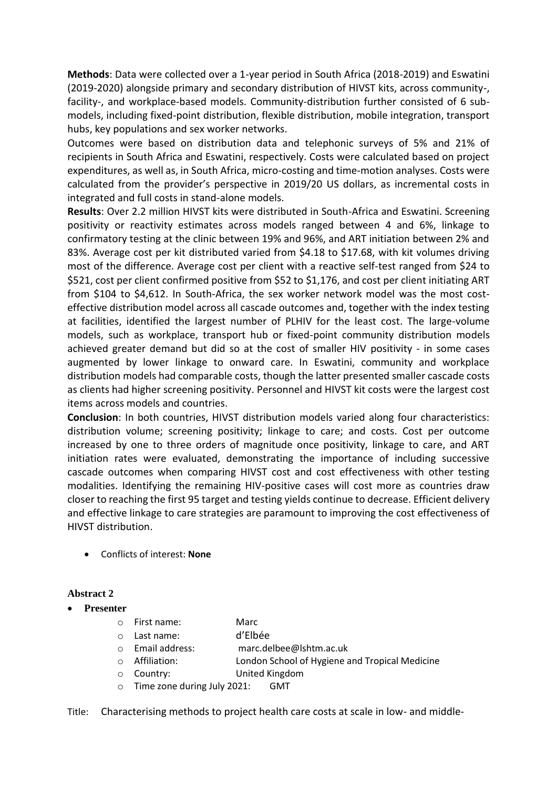**Methods**: Data were collected over a 1-year period in South Africa (2018-2019) and Eswatini (2019-2020) alongside primary and secondary distribution of HIVST kits, across community-, facility-, and workplace-based models. Community-distribution further consisted of 6 submodels, including fixed-point distribution, flexible distribution, mobile integration, transport hubs, key populations and sex worker networks.

Outcomes were based on distribution data and telephonic surveys of 5% and 21% of recipients in South Africa and Eswatini, respectively. Costs were calculated based on project expenditures, as well as, in South Africa, micro-costing and time-motion analyses. Costs were calculated from the provider's perspective in 2019/20 US dollars, as incremental costs in integrated and full costs in stand-alone models.

**Results**: Over 2.2 million HIVST kits were distributed in South-Africa and Eswatini. Screening positivity or reactivity estimates across models ranged between 4 and 6%, linkage to confirmatory testing at the clinic between 19% and 96%, and ART initiation between 2% and 83%. Average cost per kit distributed varied from \$4.18 to \$17.68, with kit volumes driving most of the difference. Average cost per client with a reactive self-test ranged from \$24 to \$521, cost per client confirmed positive from \$52 to \$1,176, and cost per client initiating ART from \$104 to \$4,612. In South-Africa, the sex worker network model was the most costeffective distribution model across all cascade outcomes and, together with the index testing at facilities, identified the largest number of PLHIV for the least cost. The large-volume models, such as workplace, transport hub or fixed-point community distribution models achieved greater demand but did so at the cost of smaller HIV positivity - in some cases augmented by lower linkage to onward care. In Eswatini, community and workplace distribution models had comparable costs, though the latter presented smaller cascade costs as clients had higher screening positivity. Personnel and HIVST kit costs were the largest cost items across models and countries.

**Conclusion**: In both countries, HIVST distribution models varied along four characteristics: distribution volume; screening positivity; linkage to care; and costs. Cost per outcome increased by one to three orders of magnitude once positivity, linkage to care, and ART initiation rates were evaluated, demonstrating the importance of including successive cascade outcomes when comparing HIVST cost and cost effectiveness with other testing modalities. Identifying the remaining HIV-positive cases will cost more as countries draw closer to reaching the first 95 target and testing yields continue to decrease. Efficient delivery and effective linkage to care strategies are paramount to improving the cost effectiveness of HIVST distribution.

Conflicts of interest: **None** 

# **Abstract 2**

- **Presenter**
	- o First name: Marc
	- o Last name: d'Elbée
	- o Email address: marc.delbee@lshtm.ac.uk
	- o Affiliation: London School of Hygiene and Tropical Medicine
	- o Country: United Kingdom
	- o Time zone during July 2021: GMT

Title: Characterising methods to project health care costs at scale in low- and middle-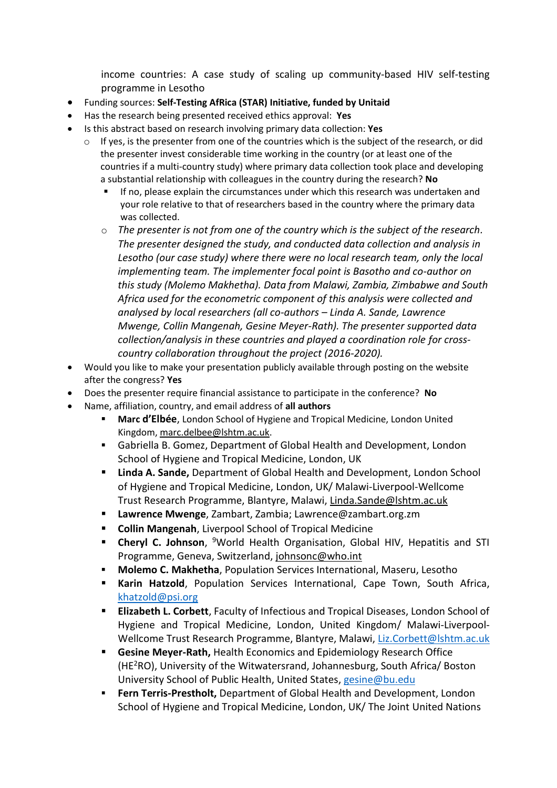income countries: A case study of scaling up community-based HIV self-testing programme in Lesotho

- Funding sources: **Self-Testing AfRica (STAR) Initiative, funded by Unitaid**
- Has the research being presented received ethics approval: **Yes**
- Is this abstract based on research involving primary data collection: **Yes**
	- $\circ$  If yes, is the presenter from one of the countries which is the subject of the research, or did the presenter invest considerable time working in the country (or at least one of the countries if a multi-country study) where primary data collection took place and developing a substantial relationship with colleagues in the country during the research? **No**
		- If no, please explain the circumstances under which this research was undertaken and your role relative to that of researchers based in the country where the primary data was collected.
		- o *The presenter is not from one of the country which is the subject of the research. The presenter designed the study, and conducted data collection and analysis in Lesotho (our case study) where there were no local research team, only the local implementing team. The implementer focal point is Basotho and co-author on this study (Molemo Makhetha). Data from Malawi, Zambia, Zimbabwe and South Africa used for the econometric component of this analysis were collected and analysed by local researchers (all co-authors – Linda A. Sande, Lawrence Mwenge, Collin Mangenah, Gesine Meyer-Rath). The presenter supported data collection/analysis in these countries and played a coordination role for crosscountry collaboration throughout the project (2016-2020).*
- Would you like to make your presentation publicly available through posting on the website after the congress? **Yes**
- Does the presenter require financial assistance to participate in the conference? **No**
- Name, affiliation, country, and email address of **all authors** 
	- **Marc d'Elbée**, London School of Hygiene and Tropical Medicine, London United Kingdom, [marc.delbee@lshtm.ac.uk.](mailto:marc.delbee@lshtm.ac.uk)
	- Gabriella B. Gomez, Department of Global Health and Development, London School of Hygiene and Tropical Medicine, London, UK
	- **Linda A. Sande,** Department of Global Health and Development, London School of Hygiene and Tropical Medicine, London, UK/ Malawi-Liverpool-Wellcome Trust Research Programme, Blantyre, Malawi, [Linda.Sande@lshtm.ac.uk](mailto:Linda.Sande@lshtm.ac.uk)
	- **Lawrence Mwenge**, Zambart, Zambia; Lawrence@zambart.org.zm
	- **Collin Mangenah**, Liverpool School of Tropical Medicine
	- **Cheryl C. Johnson**, <sup>9</sup>World Health Organisation, Global HIV, Hepatitis and STI Programme, Geneva, Switzerland, [johnsonc@who.int](mailto:johnsonc@who.int)
	- **Molemo C. Makhetha**, Population Services International, Maseru, Lesotho
	- **Karin Hatzold**, Population Services International, Cape Town, South Africa, [khatzold@psi.org](mailto:khatzold@psi.org)
	- **Elizabeth L. Corbett**, Faculty of Infectious and Tropical Diseases, London School of Hygiene and Tropical Medicine, London, United Kingdom/ Malawi-Liverpool-Wellcome Trust Research Programme, Blantyre, Malawi, [Liz.Corbett@lshtm.ac.uk](mailto:Liz.Corbett@lshtm.ac.uk)
	- **Gesine Meyer-Rath,** Health Economics and Epidemiology Research Office (HE<sup>2</sup>RO), University of the Witwatersrand, Johannesburg, South Africa/ Boston University School of Public Health, United States, [gesine@bu.edu](mailto:gesine@bu.edu)
	- **Fern Terris-Prestholt,** Department of Global Health and Development, London School of Hygiene and Tropical Medicine, London, UK/ The Joint United Nations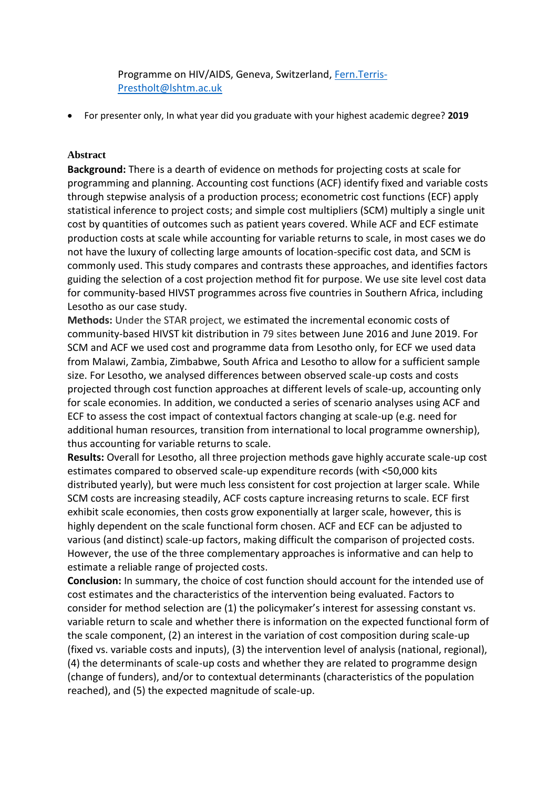Programme on HIV/AIDS, Geneva, Switzerland, [Fern.Terris-](mailto:Fern.Terris-Prestholt@lshtm.ac.uk)[Prestholt@lshtm.ac.uk](mailto:Fern.Terris-Prestholt@lshtm.ac.uk)

For presenter only, In what year did you graduate with your highest academic degree? **2019**

## **Abstract**

**Background:** There is a dearth of evidence on methods for projecting costs at scale for programming and planning. Accounting cost functions (ACF) identify fixed and variable costs through stepwise analysis of a production process; econometric cost functions (ECF) apply statistical inference to project costs; and simple cost multipliers (SCM) multiply a single unit cost by quantities of outcomes such as patient years covered. While ACF and ECF estimate production costs at scale while accounting for variable returns to scale, in most cases we do not have the luxury of collecting large amounts of location-specific cost data, and SCM is commonly used. This study compares and contrasts these approaches, and identifies factors guiding the selection of a cost projection method fit for purpose. We use site level cost data for community-based HIVST programmes across five countries in Southern Africa, including Lesotho as our case study.

**Methods:** Under the STAR project, we estimated the incremental economic costs of community-based HIVST kit distribution in 79 sites between June 2016 and June 2019. For SCM and ACF we used cost and programme data from Lesotho only, for ECF we used data from Malawi, Zambia, Zimbabwe, South Africa and Lesotho to allow for a sufficient sample size. For Lesotho, we analysed differences between observed scale-up costs and costs projected through cost function approaches at different levels of scale-up, accounting only for scale economies. In addition, we conducted a series of scenario analyses using ACF and ECF to assess the cost impact of contextual factors changing at scale-up (e.g. need for additional human resources, transition from international to local programme ownership), thus accounting for variable returns to scale.

**Results:** Overall for Lesotho, all three projection methods gave highly accurate scale-up cost estimates compared to observed scale-up expenditure records (with <50,000 kits distributed yearly), but were much less consistent for cost projection at larger scale. While SCM costs are increasing steadily, ACF costs capture increasing returns to scale. ECF first exhibit scale economies, then costs grow exponentially at larger scale, however, this is highly dependent on the scale functional form chosen. ACF and ECF can be adjusted to various (and distinct) scale-up factors, making difficult the comparison of projected costs. However, the use of the three complementary approaches is informative and can help to estimate a reliable range of projected costs.

**Conclusion:** In summary, the choice of cost function should account for the intended use of cost estimates and the characteristics of the intervention being evaluated. Factors to consider for method selection are (1) the policymaker's interest for assessing constant vs. variable return to scale and whether there is information on the expected functional form of the scale component, (2) an interest in the variation of cost composition during scale-up (fixed vs. variable costs and inputs), (3) the intervention level of analysis (national, regional), (4) the determinants of scale-up costs and whether they are related to programme design (change of funders), and/or to contextual determinants (characteristics of the population reached), and (5) the expected magnitude of scale-up.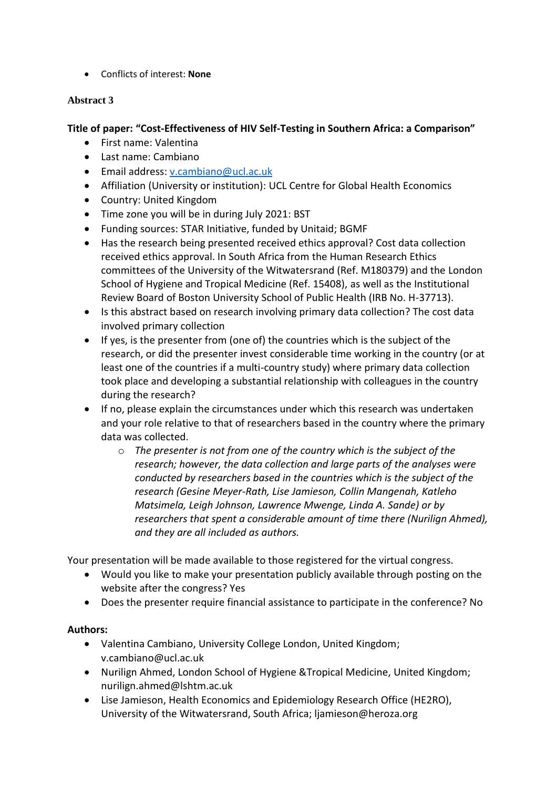Conflicts of interest: **None** 

# **Abstract 3**

# **Title of paper: "Cost-Effectiveness of HIV Self-Testing in Southern Africa: a Comparison"**

- First name: Valentina
- Last name: Cambiano
- Email address: [v.cambiano@ucl.ac.uk](mailto:v.cambiano@ucl.ac.uk)
- Affiliation (University or institution): UCL Centre for Global Health Economics
- Country: United Kingdom
- Time zone you will be in during July 2021: BST
- Funding sources: STAR Initiative, funded by Unitaid; BGMF
- Has the research being presented received ethics approval? Cost data collection received ethics approval. In South Africa from the Human Research Ethics committees of the University of the Witwatersrand (Ref. M180379) and the London School of Hygiene and Tropical Medicine (Ref. 15408), as well as the Institutional Review Board of Boston University School of Public Health (IRB No. H-37713).
- Is this abstract based on research involving primary data collection? The cost data involved primary collection
- If yes, is the presenter from (one of) the countries which is the subject of the research, or did the presenter invest considerable time working in the country (or at least one of the countries if a multi-country study) where primary data collection took place and developing a substantial relationship with colleagues in the country during the research?
- If no, please explain the circumstances under which this research was undertaken and your role relative to that of researchers based in the country where the primary data was collected.
	- o *The presenter is not from one of the country which is the subject of the research; however, the data collection and large parts of the analyses were conducted by researchers based in the countries which is the subject of the research (Gesine Meyer-Rath, Lise Jamieson, Collin Mangenah, Katleho Matsimela, Leigh Johnson, Lawrence Mwenge, Linda A. Sande) or by researchers that spent a considerable amount of time there (Nurilign Ahmed), and they are all included as authors.*

Your presentation will be made available to those registered for the virtual congress.

- Would you like to make your presentation publicly available through posting on the website after the congress? Yes
- Does the presenter require financial assistance to participate in the conference? No

# **Authors:**

- Valentina Cambiano, University College London, United Kingdom; v.cambiano@ucl.ac.uk
- Nurilign Ahmed, London School of Hygiene &Tropical Medicine, United Kingdom; nurilign.ahmed@lshtm.ac.uk
- Lise Jamieson, Health Economics and Epidemiology Research Office (HE2RO), University of the Witwatersrand, South Africa; ljamieson@heroza.org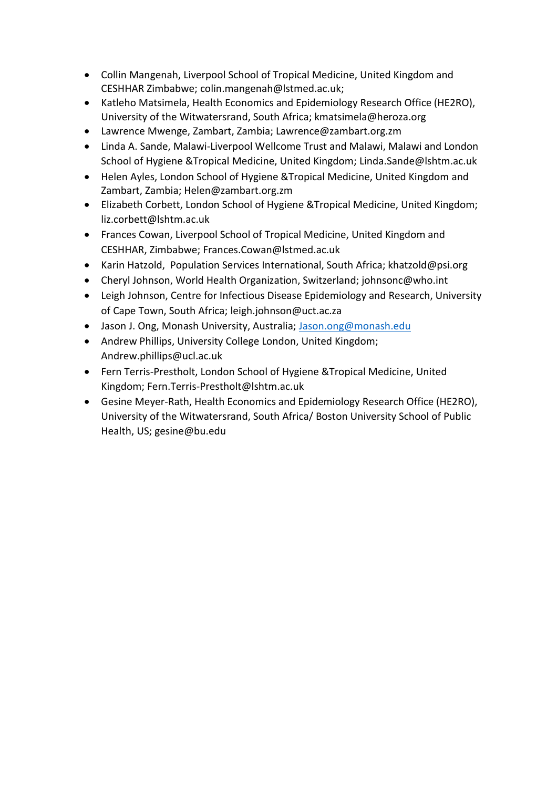- Collin Mangenah, Liverpool School of Tropical Medicine, United Kingdom and CESHHAR Zimbabwe; colin.mangenah@lstmed.ac.uk;
- Katleho Matsimela, Health Economics and Epidemiology Research Office (HE2RO), University of the Witwatersrand, South Africa; kmatsimela@heroza.org
- Lawrence Mwenge, Zambart, Zambia; Lawrence@zambart.org.zm
- Linda A. Sande, Malawi-Liverpool Wellcome Trust and Malawi, Malawi and London School of Hygiene &Tropical Medicine, United Kingdom; [Linda.Sande@lshtm.ac.uk](mailto:Linda.Sande@lshtm.ac.uk)
- Helen Ayles, London School of Hygiene &Tropical Medicine, United Kingdom and Zambart, Zambia; Helen@zambart.org.zm
- Elizabeth Corbett, London School of Hygiene &Tropical Medicine, United Kingdom; liz.corbett@lshtm.ac.uk
- Frances Cowan, Liverpool School of Tropical Medicine, United Kingdom and CESHHAR, Zimbabwe; Frances.Cowan@lstmed.ac.uk
- Karin Hatzold, Population Services International, South Africa; khatzold@psi.org
- Cheryl Johnson, World Health Organization, Switzerland; johnsonc@who.int
- Leigh Johnson, Centre for Infectious Disease Epidemiology and Research, University of Cape Town, South Africa; [leigh.johnson@uct.ac.za](mailto:leigh.johnson@uct.ac.za)
- Jason J. Ong, Monash University, Australia; [Jason.ong@monash.edu](mailto:Jason.ong@monash.edu)
- Andrew Phillips, University College London, United Kingdom; Andrew.phillips@ucl.ac.uk
- Fern Terris-Prestholt, London School of Hygiene &Tropical Medicine, United Kingdom; [Fern.Terris-Prestholt@lshtm.ac.uk](mailto:Fern.Terris-Prestholt@lshtm.ac.uk)
- Gesine Meyer-Rath, Health Economics and Epidemiology Research Office (HE2RO), University of the Witwatersrand, South Africa/ Boston University School of Public Health, US; gesine@bu.edu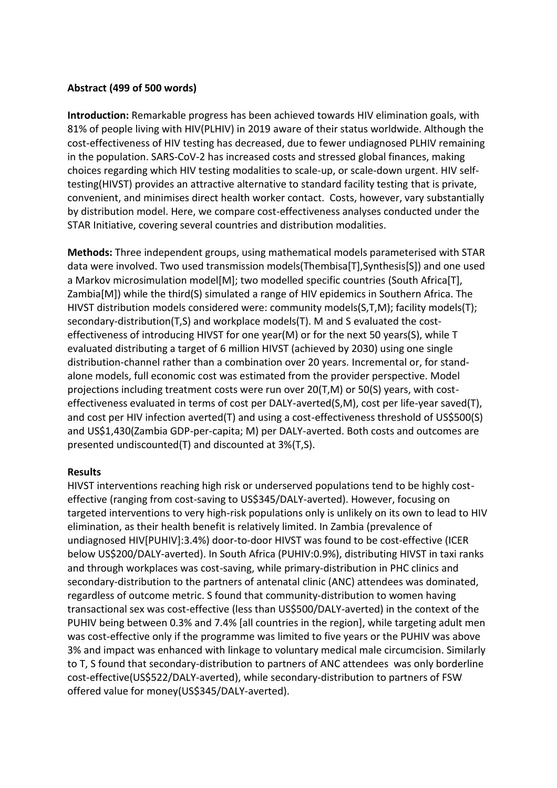# **Abstract (499 of 500 words)**

**Introduction:** Remarkable progress has been achieved towards HIV elimination goals, with 81% of people living with HIV(PLHIV) in 2019 aware of their status worldwide. Although the cost-effectiveness of HIV testing has decreased, due to fewer undiagnosed PLHIV remaining in the population. SARS-CoV-2 has increased costs and stressed global finances, making choices regarding which HIV testing modalities to scale-up, or scale-down urgent. HIV selftesting(HIVST) provides an attractive alternative to standard facility testing that is private, convenient, and minimises direct health worker contact. Costs, however, vary substantially by distribution model. Here, we compare cost-effectiveness analyses conducted under the STAR Initiative, covering several countries and distribution modalities.

**Methods:** Three independent groups, using mathematical models parameterised with STAR data were involved. Two used transmission models(Thembisa[T],Synthesis[S]) and one used a Markov microsimulation model[M]; two modelled specific countries (South Africa[T], Zambia[M]) while the third(S) simulated a range of HIV epidemics in Southern Africa. The HIVST distribution models considered were: community models(S,T,M); facility models(T); secondary-distribution(T,S) and workplace models(T). M and S evaluated the costeffectiveness of introducing HIVST for one year(M) or for the next 50 years(S), while T evaluated distributing a target of 6 million HIVST (achieved by 2030) using one single distribution-channel rather than a combination over 20 years. Incremental or, for standalone models, full economic cost was estimated from the provider perspective. Model projections including treatment costs were run over 20(T,M) or 50(S) years, with costeffectiveness evaluated in terms of cost per DALY-averted(S,M), cost per life-year saved(T), and cost per HIV infection averted(T) and using a cost-effectiveness threshold of US\$500(S) and US\$1,430(Zambia GDP-per-capita; M) per DALY-averted. Both costs and outcomes are presented undiscounted(T) and discounted at 3%(T,S).

## **Results**

HIVST interventions reaching high risk or underserved populations tend to be highly costeffective (ranging from cost-saving to US\$345/DALY-averted). However, focusing on targeted interventions to very high-risk populations only is unlikely on its own to lead to HIV elimination, as their health benefit is relatively limited. In Zambia (prevalence of undiagnosed HIV[PUHIV]:3.4%) door-to-door HIVST was found to be cost-effective (ICER below US\$200/DALY-averted). In South Africa (PUHIV:0.9%), distributing HIVST in taxi ranks and through workplaces was cost-saving, while primary-distribution in PHC clinics and secondary-distribution to the partners of antenatal clinic (ANC) attendees was dominated, regardless of outcome metric. S found that community-distribution to women having transactional sex was cost-effective (less than US\$500/DALY-averted) in the context of the PUHIV being between 0.3% and 7.4% [all countries in the region], while targeting adult men was cost-effective only if the programme was limited to five years or the PUHIV was above 3% and impact was enhanced with linkage to voluntary medical male circumcision. Similarly to T, S found that secondary-distribution to partners of ANC attendees was only borderline cost-effective(US\$522/DALY-averted), while secondary-distribution to partners of FSW offered value for money(US\$345/DALY-averted).